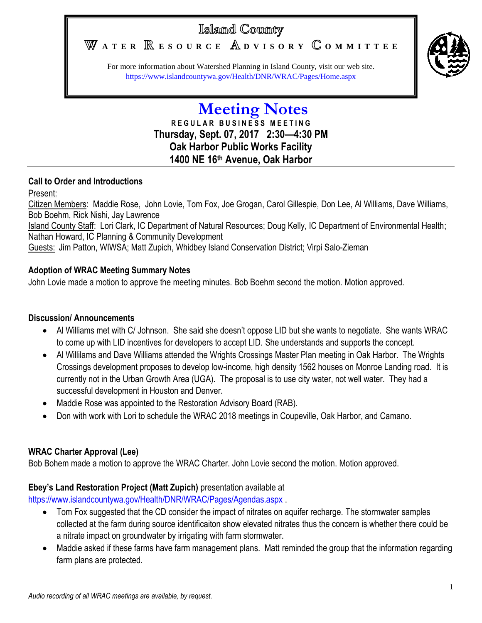# Island County

WATER **RESOURCE** ADVISORY COMMITTEE



For more information about Watershed Planning in Island County, visit our web site. <https://www.islandcountywa.gov/Health/DNR/WRAC/Pages/Home.aspx>

## **Meeting Notes R E G U L A R B U S I N E S S M E E T I N G Thursday, Sept. 07, 2017 2:30—4:30 PM Oak Harbor Public Works Facility 1400 NE 16th Avenue, Oak Harbor**

## **Call to Order and Introductions**

## Present:

Citizen Members: Maddie Rose, John Lovie, Tom Fox, Joe Grogan, Carol Gillespie, Don Lee, Al Williams, Dave Williams, Bob Boehm, Rick Nishi, Jay Lawrence

Island County Staff: Lori Clark, IC Department of Natural Resources; Doug Kelly, IC Department of Environmental Health; Nathan Howard, IC Planning & Community Development

Guests: Jim Patton, WIWSA; Matt Zupich, Whidbey Island Conservation District; Virpi Salo-Zieman

## **Adoption of WRAC Meeting Summary Notes**

John Lovie made a motion to approve the meeting minutes. Bob Boehm second the motion. Motion approved.

## **Discussion/ Announcements**

- Al Williams met with C/ Johnson. She said she doesn't oppose LID but she wants to negotiate. She wants WRAC to come up with LID incentives for developers to accept LID. She understands and supports the concept.
- Al Willilams and Dave Williams attended the Wrights Crossings Master Plan meeting in Oak Harbor. The Wrights Crossings development proposes to develop low-income, high density 1562 houses on Monroe Landing road. It is currently not in the Urban Growth Area (UGA). The proposal is to use city water, not well water. They had a successful development in Houston and Denver.
- Maddie Rose was appointed to the Restoration Advisory Board (RAB).
- Don with work with Lori to schedule the WRAC 2018 meetings in Coupeville, Oak Harbor, and Camano.

## **WRAC Charter Approval (Lee)**

Bob Bohem made a motion to approve the WRAC Charter. John Lovie second the motion. Motion approved.

## **Ebey's Land Restoration Project (Matt Zupich)** presentation available at

<https://www.islandcountywa.gov/Health/DNR/WRAC/Pages/Agendas.aspx> .

- Tom Fox suggested that the CD consider the impact of nitrates on aguifer recharge. The stormwater samples collected at the farm during source identificaiton show elevated nitrates thus the concern is whether there could be a nitrate impact on groundwater by irrigating with farm stormwater.
- Maddie asked if these farms have farm management plans. Matt reminded the group that the information regarding farm plans are protected.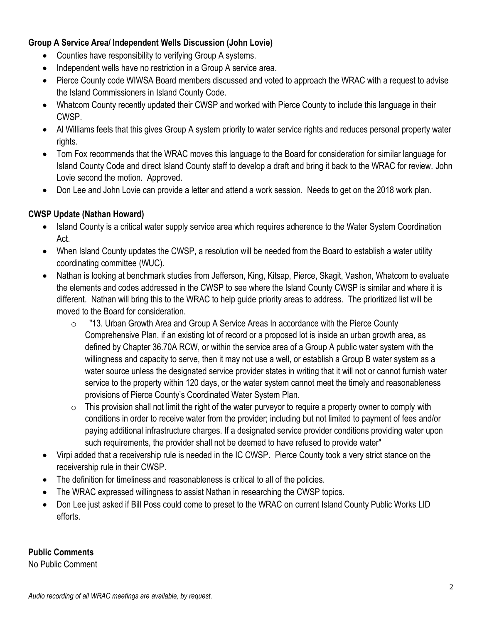#### **Group A Service Area/ Independent Wells Discussion (John Lovie)**

- Counties have responsibility to verifying Group A systems.
- Independent wells have no restriction in a Group A service area.
- Pierce County code WIWSA Board members discussed and voted to approach the WRAC with a request to advise the Island Commissioners in Island County Code.
- Whatcom County recently updated their CWSP and worked with Pierce County to include this language in their CWSP.
- Al Williams feels that this gives Group A system priority to water service rights and reduces personal property water rights.
- Tom Fox recommends that the WRAC moves this language to the Board for consideration for similar language for Island County Code and direct Island County staff to develop a draft and bring it back to the WRAC for review. John Lovie second the motion. Approved.
- Don Lee and John Lovie can provide a letter and attend a work session. Needs to get on the 2018 work plan.

## **CWSP Update (Nathan Howard)**

- Island County is a critical water supply service area which requires adherence to the Water System Coordination Act.
- When Island County updates the CWSP, a resolution will be needed from the Board to establish a water utility coordinating committee (WUC).
- Nathan is looking at benchmark studies from Jefferson, King, Kitsap, Pierce, Skagit, Vashon, Whatcom to evaluate the elements and codes addressed in the CWSP to see where the Island County CWSP is similar and where it is different. Nathan will bring this to the WRAC to help guide priority areas to address. The prioritized list will be moved to the Board for consideration.
	- $\circ$  "13. Urban Growth Area and Group A Service Areas In accordance with the Pierce County Comprehensive Plan, if an existing lot of record or a proposed lot is inside an urban growth area, as defined by Chapter 36.70A RCW, or within the service area of a Group A public water system with the willingness and capacity to serve, then it may not use a well, or establish a Group B water system as a water source unless the designated service provider states in writing that it will not or cannot furnish water service to the property within 120 days, or the water system cannot meet the timely and reasonableness provisions of Pierce County's Coordinated Water System Plan.
	- $\circ$  This provision shall not limit the right of the water purveyor to require a property owner to comply with conditions in order to receive water from the provider; including but not limited to payment of fees and/or paying additional infrastructure charges. If a designated service provider conditions providing water upon such requirements, the provider shall not be deemed to have refused to provide water"
- Virpi added that a receivership rule is needed in the IC CWSP. Pierce County took a very strict stance on the receivership rule in their CWSP.
- The definition for timeliness and reasonableness is critical to all of the policies.
- The WRAC expressed willingness to assist Nathan in researching the CWSP topics.
- Don Lee just asked if Bill Poss could come to preset to the WRAC on current Island County Public Works LID efforts.

## **Public Comments**

No Public Comment